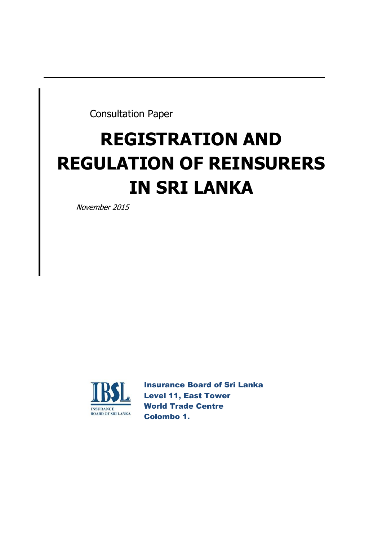Consultation Paper

# **REGISTRATION AND REGULATION OF REINSURERS IN SRI LANKA**

November 2015



Insurance Board of Sri Lanka Level 11, East Tower World Trade Centre Colombo 1.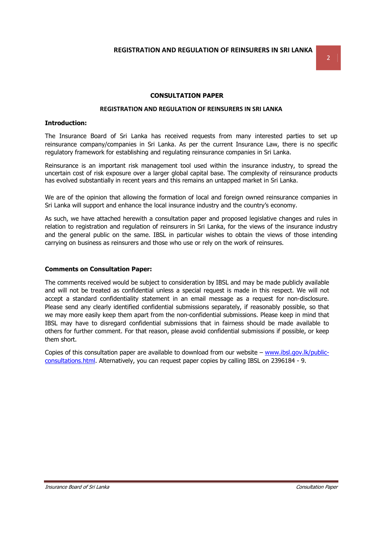### **CONSULTATION PAPER**

## **REGISTRATION AND REGULATION OF REINSURERS IN SRI LANKA**

#### **Introduction:**

The Insurance Board of Sri Lanka has received requests from many interested parties to set up reinsurance company/companies in Sri Lanka. As per the current Insurance Law, there is no specific regulatory framework for establishing and regulating reinsurance companies in Sri Lanka.

Reinsurance is an important risk management tool used within the insurance industry, to spread the uncertain cost of risk exposure over a larger global capital base. The complexity of reinsurance products has evolved substantially in recent years and this remains an untapped market in Sri Lanka.

We are of the opinion that allowing the formation of local and foreign owned reinsurance companies in Sri Lanka will support and enhance the local insurance industry and the country's economy.

As such, we have attached herewith a consultation paper and proposed legislative changes and rules in relation to registration and regulation of reinsurers in Sri Lanka, for the views of the insurance industry and the general public on the same. IBSL in particular wishes to obtain the views of those intending carrying on business as reinsurers and those who use or rely on the work of reinsures.

#### **Comments on Consultation Paper:**

The comments received would be subject to consideration by IBSL and may be made publicly available and will not be treated as confidential unless a special request is made in this respect. We will not accept a standard confidentiality statement in an email message as a request for non-disclosure. Please send any clearly identified confidential submissions separately, if reasonably possible, so that we may more easily keep them apart from the non-confidential submissions. Please keep in mind that IBSL may have to disregard confidential submissions that in fairness should be made available to others for further comment. For that reason, please avoid confidential submissions if possible, or keep them short.

Copies of this consultation paper are available to download from our website – www.ibsl.gov.lk/publicconsultations.html. Alternatively, you can request paper copies by calling IBSL on 2396184 - 9.

2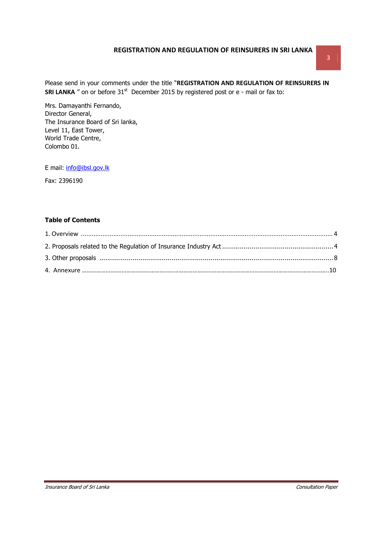Please send in your comments under the title "**REGISTRATION AND REGULATION OF REINSURERS IN SRI LANKA** " on or before 31<sup>st</sup> December 2015 by registered post or e - mail or fax to:

Mrs. Damayanthi Fernando, Director General, The Insurance Board of Sri lanka, Level 11, East Tower, World Trade Centre, Colombo 01.

E mail: info@ibsl.gov.lk

Fax: 2396190

# **Table of Contents**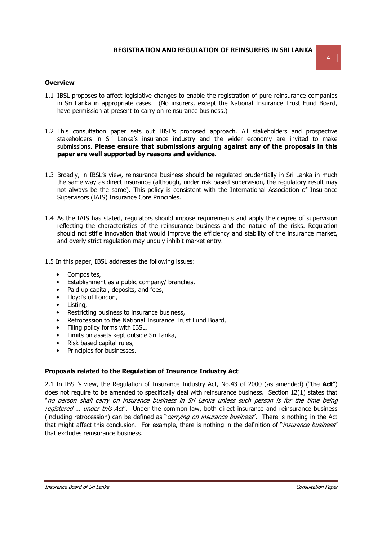#### **Overview**

- 1.1 IBSL proposes to affect legislative changes to enable the registration of pure reinsurance companies in Sri Lanka in appropriate cases. (No insurers, except the National Insurance Trust Fund Board, have permission at present to carry on reinsurance business.)
- 1.2 This consultation paper sets out IBSL's proposed approach. All stakeholders and prospective stakeholders in Sri Lanka's insurance industry and the wider economy are invited to make submissions. **Please ensure that submissions arguing against any of the proposals in this paper are well supported by reasons and evidence.**
- 1.3 Broadly, in IBSL's view, reinsurance business should be regulated prudentially in Sri Lanka in much the same way as direct insurance (although, under risk based supervision, the regulatory result may not always be the same). This policy is consistent with the International Association of Insurance Supervisors (IAIS) Insurance Core Principles.
- 1.4 As the IAIS has stated, regulators should impose requirements and apply the degree of supervision reflecting the characteristics of the reinsurance business and the nature of the risks. Regulation should not stifle innovation that would improve the efficiency and stability of the insurance market, and overly strict regulation may unduly inhibit market entry.
- 1.5 In this paper, IBSL addresses the following issues:
	- Composites,
	- Establishment as a public company/ branches,
	- Paid up capital, deposits, and fees,
	- Lloyd's of London,
	- Listing,
	- Restricting business to insurance business,
	- Retrocession to the National Insurance Trust Fund Board,
	- Filing policy forms with IBSL,
	- Limits on assets kept outside Sri Lanka,
	- Risk based capital rules,
	- Principles for businesses.

## **Proposals related to the Regulation of Insurance Industry Act**

2.1 In IBSL's view, the Regulation of Insurance Industry Act, No.43 of 2000 (as amended) ("the **Act**") does not require to be amended to specifically deal with reinsurance business. Section 12(1) states that "no person shall carry on insurance business in Sri Lanka unless such person is for the time being registered ... under this Act". Under the common law, both direct insurance and reinsurance business (including retrocession) can be defined as "carrying on insurance business". There is nothing in the Act that might affect this conclusion. For example, there is nothing in the definition of "*insurance business"* that excludes reinsurance business.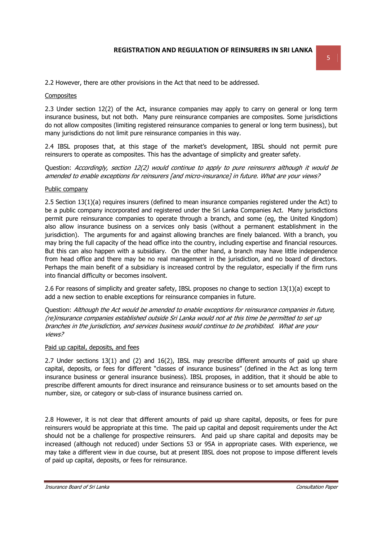2.2 However, there are other provisions in the Act that need to be addressed.

### **Composites**

2.3 Under section 12(2) of the Act, insurance companies may apply to carry on general or long term insurance business, but not both. Many pure reinsurance companies are composites. Some jurisdictions do not allow composites (limiting registered reinsurance companies to general or long term business), but many jurisdictions do not limit pure reinsurance companies in this way.

2.4 IBSL proposes that, at this stage of the market's development, IBSL should not permit pure reinsurers to operate as composites. This has the advantage of simplicity and greater safety.

Question: Accordingly, section 12(2) would continue to apply to pure reinsurers although it would be amended to enable exceptions for reinsurers [and micro-insurance] in future. What are your views?

### Public company

2.5 Section 13(1)(a) requires insurers (defined to mean insurance companies registered under the Act) to be a public company incorporated and registered under the Sri Lanka Companies Act. Many jurisdictions permit pure reinsurance companies to operate through a branch, and some (eg, the United Kingdom) also allow insurance business on a services only basis (without a permanent establishment in the jurisdiction). The arguments for and against allowing branches are finely balanced. With a branch, you may bring the full capacity of the head office into the country, including expertise and financial resources. But this can also happen with a subsidiary. On the other hand, a branch may have little independence from head office and there may be no real management in the jurisdiction, and no board of directors. Perhaps the main benefit of a subsidiary is increased control by the regulator, especially if the firm runs into financial difficulty or becomes insolvent.

2.6 For reasons of simplicity and greater safety, IBSL proposes no change to section 13(1)(a) except to add a new section to enable exceptions for reinsurance companies in future.

Question: Although the Act would be amended to enable exceptions for reinsurance companies in future, (re)insurance companies established outside Sri Lanka would not at this time be permitted to set up branches in the jurisdiction, and services business would continue to be prohibited. What are your views?

#### Paid up capital, deposits, and fees

2.7 Under sections 13(1) and (2) and 16(2), IBSL may prescribe different amounts of paid up share capital, deposits, or fees for different "classes of insurance business" (defined in the Act as long term insurance business or general insurance business). IBSL proposes, in addition, that it should be able to prescribe different amounts for direct insurance and reinsurance business or to set amounts based on the number, size, or category or sub-class of insurance business carried on.

2.8 However, it is not clear that different amounts of paid up share capital, deposits, or fees for pure reinsurers would be appropriate at this time. The paid up capital and deposit requirements under the Act should not be a challenge for prospective reinsurers. And paid up share capital and deposits may be increased (although not reduced) under Sections 53 or 95A in appropriate cases. With experience, we may take a different view in due course, but at present IBSL does not propose to impose different levels of paid up capital, deposits, or fees for reinsurance.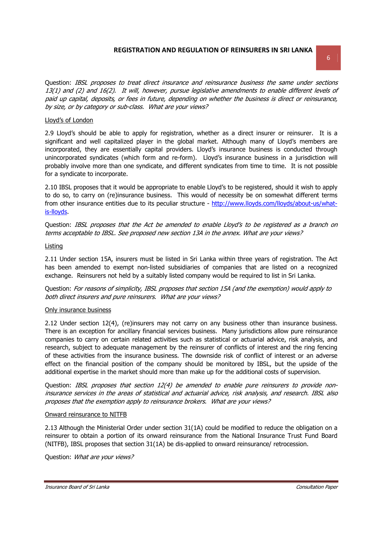Question: IBSL proposes to treat direct insurance and reinsurance business the same under sections 13(1) and (2) and 16(2). It will, however, pursue legislative amendments to enable different levels of paid up capital, deposits, or fees in future, depending on whether the business is direct or reinsurance, by size, or by category or sub-class. What are your views?

## Lloyd's of London

2.9 Lloyd's should be able to apply for registration, whether as a direct insurer or reinsurer. It is a significant and well capitalized player in the global market. Although many of Lloyd's members are incorporated, they are essentially capital providers. Lloyd's insurance business is conducted through unincorporated syndicates (which form and re-form). Lloyd's insurance business in a jurisdiction will probably involve more than one syndicate, and different syndicates from time to time. It is not possible for a syndicate to incorporate.

2.10 IBSL proposes that it would be appropriate to enable Lloyd's to be registered, should it wish to apply to do so, to carry on (re)insurance business. This would of necessity be on somewhat different terms from other insurance entities due to its peculiar structure - http://www.lloyds.com/lloyds/about-us/whatis-lloyds.

Question: IBSL proposes that the Act be amended to enable Lloyd's to be registered as a branch on terms acceptable to IBSL. See proposed new section 13A in the annex. What are your views?

#### Listing

2.11 Under section 15A, insurers must be listed in Sri Lanka within three years of registration. The Act has been amended to exempt non-listed subsidiaries of companies that are listed on a recognized exchange. Reinsurers not held by a suitably listed company would be required to list in Sri Lanka.

Question: For reasons of simplicity, IBSL proposes that section 15A (and the exemption) would apply to both direct insurers and pure reinsurers. What are your views?

#### Only insurance business

2.12 Under section 12(4), (re)insurers may not carry on any business other than insurance business. There is an exception for ancillary financial services business. Many jurisdictions allow pure reinsurance companies to carry on certain related activities such as statistical or actuarial advice, risk analysis, and research, subject to adequate management by the reinsurer of conflicts of interest and the ring fencing of these activities from the insurance business. The downside risk of conflict of interest or an adverse effect on the financial position of the company should be monitored by IBSL, but the upside of the additional expertise in the market should more than make up for the additional costs of supervision.

Question: IBSL proposes that section 12(4) be amended to enable pure reinsurers to provide noninsurance services in the areas of statistical and actuarial advice, risk analysis, and research. IBSL also proposes that the exemption apply to reinsurance brokers. What are your views?

#### Onward reinsurance to NITFB

2.13 Although the Ministerial Order under section 31(1A) could be modified to reduce the obligation on a reinsurer to obtain a portion of its onward reinsurance from the National Insurance Trust Fund Board (NITFB), IBSL proposes that section 31(1A) be dis-applied to onward reinsurance/ retrocession.

Question: What are your views?

Insurance Board of Sri Lanka Consultation Paper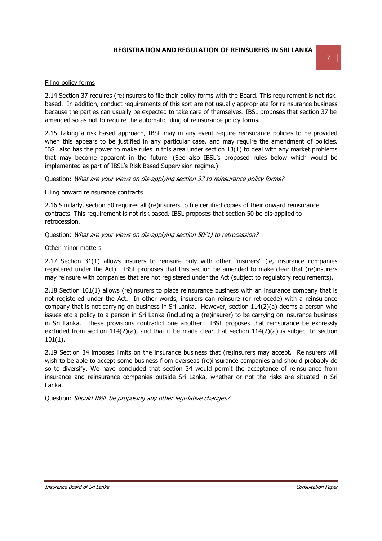## Filing policy forms

2.14 Section 37 requires (re)insurers to file their policy forms with the Board. This requirement is not risk based. In addition, conduct requirements of this sort are not usually appropriate for reinsurance business because the parties can usually be expected to take care of themselves. IBSL proposes that section 37 be amended so as not to require the automatic filing of reinsurance policy forms.

2.15 Taking a risk based approach, IBSL may in any event require reinsurance policies to be provided when this appears to be justified in any particular case, and may require the amendment of policies. IBSL also has the power to make rules in this area under section 13(1) to deal with any market problems that may become apparent in the future. (See also IBSL's proposed rules below which would be implemented as part of IBSL's Risk Based Supervision regime.)

Question: What are your views on dis-applying section 37 to reinsurance policy forms?

## Filing onward reinsurance contracts

2.16 Similarly, section 50 requires all (re)insurers to file certified copies of their onward reinsurance contracts. This requirement is not risk based. IBSL proposes that section 50 be dis-applied to retrocession.

Question: What are your views on dis-applying section 50(1) to retrocession?

### Other minor matters

2.17 Section 31(1) allows insurers to reinsure only with other "insurers" (ie, insurance companies registered under the Act). IBSL proposes that this section be amended to make clear that (re)insurers may reinsure with companies that are not registered under the Act (subject to regulatory requirements).

2.18 Section 101(1) allows (re)insurers to place reinsurance business with an insurance company that is not registered under the Act. In other words, insurers can reinsure (or retrocede) with a reinsurance company that is not carrying on business in Sri Lanka. However, section 114(2)(a) deems a person who issues etc a policy to a person in Sri Lanka (including a (re)insurer) to be carrying on insurance business in Sri Lanka. These provisions contradict one another. IBSL proposes that reinsurance be expressly excluded from section  $114(2)(a)$ , and that it be made clear that section  $114(2)(a)$  is subject to section 101(1).

2.19 Section 34 imposes limits on the insurance business that (re)insurers may accept. Reinsurers will wish to be able to accept some business from overseas (re)insurance companies and should probably do so to diversify. We have concluded that section 34 would permit the acceptance of reinsurance from insurance and reinsurance companies outside Sri Lanka, whether or not the risks are situated in Sri Lanka.

Question: Should IBSL be proposing any other legislative changes?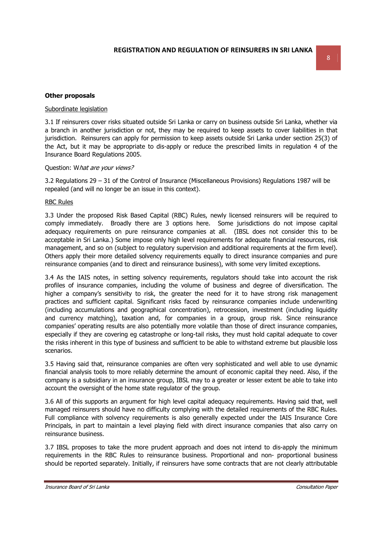#### **Other proposals**

### Subordinate legislation

3.1 If reinsurers cover risks situated outside Sri Lanka or carry on business outside Sri Lanka, whether via a branch in another jurisdiction or not, they may be required to keep assets to cover liabilities in that jurisdiction. Reinsurers can apply for permission to keep assets outside Sri Lanka under section 25(3) of the Act, but it may be appropriate to dis-apply or reduce the prescribed limits in regulation 4 of the Insurance Board Regulations 2005.

#### Question: What are your views?

3.2 Regulations 29 – 31 of the Control of Insurance (Miscellaneous Provisions) Regulations 1987 will be repealed (and will no longer be an issue in this context).

#### RBC Rules

3.3 Under the proposed Risk Based Capital (RBC) Rules, newly licensed reinsurers will be required to comply immediately. Broadly there are 3 options here. Some jurisdictions do not impose capital adequacy requirements on pure reinsurance companies at all. (IBSL does not consider this to be acceptable in Sri Lanka.) Some impose only high level requirements for adequate financial resources, risk management, and so on (subject to regulatory supervision and additional requirements at the firm level). Others apply their more detailed solvency requirements equally to direct insurance companies and pure reinsurance companies (and to direct and reinsurance business), with some very limited exceptions.

3.4 As the IAIS notes, in setting solvency requirements, regulators should take into account the risk profiles of insurance companies, including the volume of business and degree of diversification. The higher a company's sensitivity to risk, the greater the need for it to have strong risk management practices and sufficient capital. Significant risks faced by reinsurance companies include underwriting (including accumulations and geographical concentration), retrocession, investment (including liquidity and currency matching), taxation and, for companies in a group, group risk. Since reinsurance companies' operating results are also potentially more volatile than those of direct insurance companies, especially if they are covering eg catastrophe or long-tail risks, they must hold capital adequate to cover the risks inherent in this type of business and sufficient to be able to withstand extreme but plausible loss scenarios.

3.5 Having said that, reinsurance companies are often very sophisticated and well able to use dynamic financial analysis tools to more reliably determine the amount of economic capital they need. Also, if the company is a subsidiary in an insurance group, IBSL may to a greater or lesser extent be able to take into account the oversight of the home state regulator of the group.

3.6 All of this supports an argument for high level capital adequacy requirements. Having said that, well managed reinsurers should have no difficulty complying with the detailed requirements of the RBC Rules. Full compliance with solvency requirements is also generally expected under the IAIS Insurance Core Principals, in part to maintain a level playing field with direct insurance companies that also carry on reinsurance business.

3.7 IBSL proposes to take the more prudent approach and does not intend to dis-apply the minimum requirements in the RBC Rules to reinsurance business. Proportional and non- proportional business should be reported separately. Initially, if reinsurers have some contracts that are not clearly attributable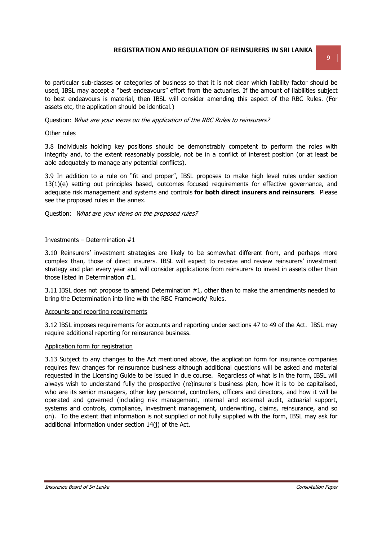to particular sub-classes or categories of business so that it is not clear which liability factor should be used, IBSL may accept a "best endeavours" effort from the actuaries. If the amount of liabilities subject to best endeavours is material, then IBSL will consider amending this aspect of the RBC Rules. (For assets etc, the application should be identical.)

Question: What are your views on the application of the RBC Rules to reinsurers?

#### Other rules

3.8 Individuals holding key positions should be demonstrably competent to perform the roles with integrity and, to the extent reasonably possible, not be in a conflict of interest position (or at least be able adequately to manage any potential conflicts).

3.9 In addition to a rule on "fit and proper", IBSL proposes to make high level rules under section 13(1)(e) setting out principles based, outcomes focused requirements for effective governance, and adequate risk management and systems and controls **for both direct insurers and reinsurers**. Please see the proposed rules in the annex.

Question: What are your views on the proposed rules?

### Investments – Determination  $#1$

3.10 Reinsurers' investment strategies are likely to be somewhat different from, and perhaps more complex than, those of direct insurers. IBSL will expect to receive and review reinsurers' investment strategy and plan every year and will consider applications from reinsurers to invest in assets other than those listed in Determination #1.

3.11 IBSL does not propose to amend Determination #1, other than to make the amendments needed to bring the Determination into line with the RBC Framework/ Rules.

#### Accounts and reporting requirements

3.12 IBSL imposes requirements for accounts and reporting under sections 47 to 49 of the Act. IBSL may require additional reporting for reinsurance business.

#### Application form for registration

3.13 Subject to any changes to the Act mentioned above, the application form for insurance companies requires few changes for reinsurance business although additional questions will be asked and material requested in the Licensing Guide to be issued in due course. Regardless of what is in the form, IBSL will always wish to understand fully the prospective (re)insurer's business plan, how it is to be capitalised, who are its senior managers, other key personnel, controllers, officers and directors, and how it will be operated and governed (including risk management, internal and external audit, actuarial support, systems and controls, compliance, investment management, underwriting, claims, reinsurance, and so on). To the extent that information is not supplied or not fully supplied with the form, IBSL may ask for additional information under section 14(j) of the Act.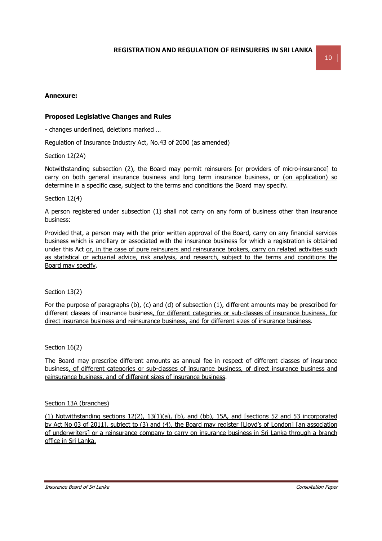## **Annexure:**

## **Proposed Legislative Changes and Rules**

- changes underlined, deletions marked …

Regulation of Insurance Industry Act, No.43 of 2000 (as amended)

## Section 12(2A)

Notwithstanding subsection (2), the Board may permit reinsurers [or providers of micro-insurance] to carry on both general insurance business and long term insurance business, or (on application) so determine in a specific case, subject to the terms and conditions the Board may specify.

## Section 12(4)

A person registered under subsection (1) shall not carry on any form of business other than insurance business:

Provided that, a person may with the prior written approval of the Board, carry on any financial services business which is ancillary or associated with the insurance business for which a registration is obtained under this Act or, in the case of pure reinsurers and reinsurance brokers, carry on related activities such as statistical or actuarial advice, risk analysis, and research, subject to the terms and conditions the Board may specify.

## Section 13(2)

For the purpose of paragraphs (b), (c) and (d) of subsection (1), different amounts may be prescribed for different classes of insurance business, for different categories or sub-classes of insurance business, for direct insurance business and reinsurance business, and for different sizes of insurance business.

Section 16(2)

The Board may prescribe different amounts as annual fee in respect of different classes of insurance business, of different categories or sub-classes of insurance business, of direct insurance business and reinsurance business, and of different sizes of insurance business.

## Section 13A (branches)

(1) Notwithstanding sections 12(2), 13(1)(a), (b), and (bb), 15A, and [sections 52 and 53 incorporated by Act No 03 of 2011], subject to (3) and (4), the Board may register [Lloyd's of London] [an association of underwriters] or a reinsurance company to carry on insurance business in Sri Lanka through a branch office in Sri Lanka.

Insurance Board of Sri Lanka Consultation Paper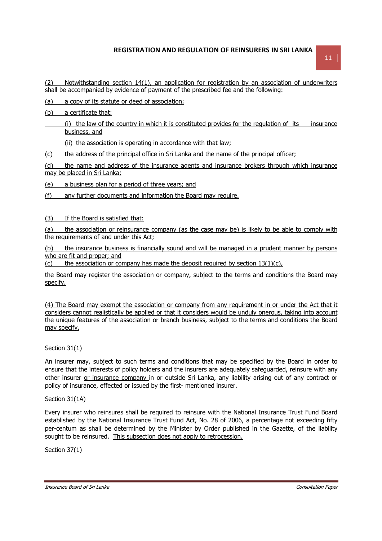(2) Notwithstanding section 14(1), an application for registration by an association of underwriters shall be accompanied by evidence of payment of the prescribed fee and the following:

(a) a copy of its statute or deed of association;

(b) a certificate that:

 (i) the law of the country in which it is constituted provides for the regulation of its insurance business, and

(ii) the association is operating in accordance with that law;

(c) the address of the principal office in Sri Lanka and the name of the principal officer;

(d) the name and address of the insurance agents and insurance brokers through which insurance may be placed in Sri Lanka;

(e) a business plan for a period of three years; and

(f) any further documents and information the Board may require.

(3) If the Board is satisfied that:

(a) the association or reinsurance company (as the case may be) is likely to be able to comply with the requirements of and under this Act;

(b) the insurance business is financially sound and will be managed in a prudent manner by persons who are fit and proper; and

(c) the association or company has made the deposit required by section  $13(1)(c)$ ,

the Board may register the association or company, subject to the terms and conditions the Board may specify.

(4) The Board may exempt the association or company from any requirement in or under the Act that it considers cannot realistically be applied or that it considers would be unduly onerous, taking into account the unique features of the association or branch business, subject to the terms and conditions the Board may specify.

Section 31(1)

An insurer may, subject to such terms and conditions that may be specified by the Board in order to ensure that the interests of policy holders and the insurers are adequately safeguarded, reinsure with any other insurer or insurance company in or outside Sri Lanka, any liability arising out of any contract or policy of insurance, effected or issued by the first- mentioned insurer.

Section 31(1A)

Every insurer who reinsures shall be required to reinsure with the National Insurance Trust Fund Board established by the National Insurance Trust Fund Act, No. 28 of 2006, a percentage not exceeding fifty per-centum as shall be determined by the Minister by Order published in the Gazette, of the liability sought to be reinsured. This subsection does not apply to retrocession.

Section 37(1)

Insurance Board of Sri Lanka Consultation Paper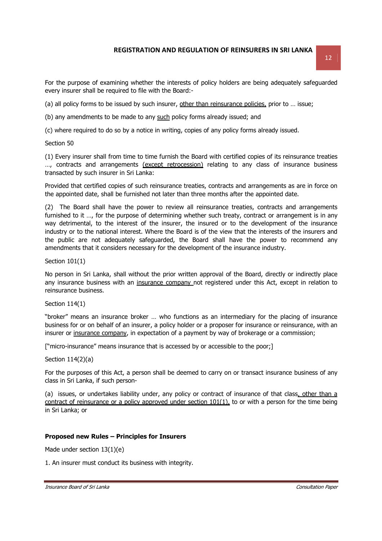For the purpose of examining whether the interests of policy holders are being adequately safeguarded every insurer shall be required to file with the Board:-

(a) all policy forms to be issued by such insurer, other than reinsurance policies, prior to ... issue;

(b) any amendments to be made to any such policy forms already issued; and

(c) where required to do so by a notice in writing, copies of any policy forms already issued.

Section 50

(1) Every insurer shall from time to time furnish the Board with certified copies of its reinsurance treaties ..., contracts and arrangements (except retrocession) relating to any class of insurance business transacted by such insurer in Sri Lanka:

Provided that certified copies of such reinsurance treaties, contracts and arrangements as are in force on the appointed date, shall be furnished not later than three months after the appointed date.

(2) The Board shall have the power to review all reinsurance treaties, contracts and arrangements furnished to it ..., for the purpose of determining whether such treaty, contract or arrangement is in any way detrimental, to the interest of the insurer, the insured or to the development of the insurance industry or to the national interest. Where the Board is of the view that the interests of the insurers and the public are not adequately safeguarded, the Board shall have the power to recommend any amendments that it considers necessary for the development of the insurance industry.

Section 101(1)

No person in Sri Lanka, shall without the prior written approval of the Board, directly or indirectly place any insurance business with an insurance company not registered under this Act, except in relation to reinsurance business.

Section 114(1)

"broker" means an insurance broker … who functions as an intermediary for the placing of insurance business for or on behalf of an insurer, a policy holder or a proposer for insurance or reinsurance, with an insurer or insurance company, in expectation of a payment by way of brokerage or a commission;

["micro-insurance" means insurance that is accessed by or accessible to the poor;]

Section 114(2)(a)

For the purposes of this Act, a person shall be deemed to carry on or transact insurance business of any class in Sri Lanka, if such person-

(a) issues, or undertakes liability under, any policy or contract of insurance of that class, other than a contract of reinsurance or a policy approved under section 101(1), to or with a person for the time being in Sri Lanka; or

## **Proposed new Rules – Principles for Insurers**

Made under section 13(1)(e)

1. An insurer must conduct its business with integrity.